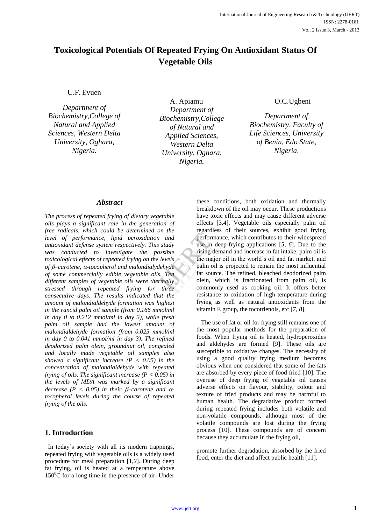# **Toxicological Potentials Of Repeated Frying On Antioxidant Status Of Vegetable Oils**

U.F. Evuen

*Department of Biochemistry,College of Natural and Applied Sciences, Western Delta University, Oghara, Nigeria.*

A. Apiamu *Department of Biochemistry,College of Natural and Applied Sciences, Western Delta University, Oghara, Nigeria.*

## O.C.Ugbeni

*Department of Biochemistry, Faculty of Life Sciences, University of Benin, Edo State, Nigeria*.

#### *Abstract*

*The process of repeated frying of dietary vegetable oils plays a significant role in the generation of free radicals, which could be determined on the level of performance, lipid peroxidation and antioxidant defense system respectively. This study was conducted to investigate the possible toxicological effects of repeated frying on the levels of –carotene, -tocopherol and malondialydehyde of some commercially edible vegetable oils. Ten different samples of vegetable oils were thermally stressed through repeated frying for three consecutive days. The results indicated that the amount of malondialdehyde formation was highest in the rancid palm oil sample (from 0.166 mmol/ml in day 0 to 0.212 mmol/ml in day 3), while fresh palm oil sample had the lowest amount of malondialdehyde formation (from 0.025 mmol/ml in day 0 to 0.041 mmol/ml in day 3). The refined deodorized palm olein, groundnut oil, congealed and locally made vegetable oil samples also showed a significant increase (P < 0.05) in the concentration of malondialdehyde with repeated frying of oils. The significant increase (P < 0.05) in the levels of MDA was marked by a significant decrease* ( $P < 0.05$ ) in their  $\beta$ -carotene and  $\alpha$ *tocopherol levels during the course of repeated frying of the oils.*

## **1. Introduction**

 In today's society with all its modern trappings, repeated frying with vegetable oils is a widely used procedure for meal preparation [1,*2*]. During deep fat frying, oil is heated at a temperature above  $150^{\circ}$ C for a long time in the presence of air. Under

these conditions, both oxidation and thermally breakdown of the oil may occur. These productions have toxic effects and may cause different adverse effects [3*,*4]. Vegetable oils especially palm oil regardless of their sources, exhibit good frying performance, which contributes to their widespread use in deep-frying applications [*5, 6*]. Due to the rising demand and increase in fat intake, palm oil is the major oil in the world's oil and fat market, and palm oil is projected to remain the most influential fat source. The refined, bleached deodorized palm olein, which is fractionated from palm oil, is commonly used as cooking oil. It offers better resistance to oxidation of high temperature during frying as well as natural antioxidants from the vitamin E group, the tocotrienols, etc [*7, 8*]. and<br>
tudy<br>
is in d<br>
is in de rising de<br>
is in de raid<br>
is the major<br>
palm oil<br>
fat source<br>
three<br>
the common<br>
de resistance<br>
de resistance<br>
de resistance<br>
de resistance<br>
de resistance<br>
de resistance<br>
de resistance<br>
de resi

> The use of fat or oil for frying still remains one of the most popular methods for the preparation of foods. When frying oil is heated, hydroperoxides and aldehydes are formed [*9*]. These oils are susceptible to oxidative changes. The necessity of using a good quality frying medium becomes obvious when one considered that some of the fats are absorbed by every piece of food fried [10]. The overuse of deep frying of vegetable oil causes adverse effects on flavour, stability, colour and texture of fried products and may be harmful to human health. The degradative product formed during repeated frying includes both volatile and non-volatile compounds, although most of the volatile compounds are lost during the frying process [10]. These compounds are of concern because they accumulate in the frying oil,

promote further degradation, absorbed by the fried food, enter the diet and affect public health [11].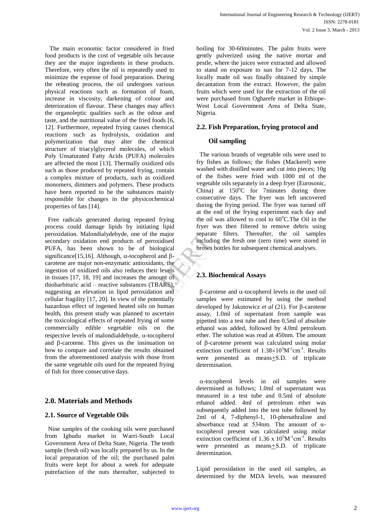The main economic factor considered in fried food products is the cost of vegetable oils because they are the major ingredients in these products. Therefore, very often the oil is repeatedly used to minimize the expense of food preparation. During the reheating process, the oil undergoes various physical reactions such as formation of foam, increase in viscosity, darkening of colour and deterioration of flavour. These changes may affect the organoleptic qualities such as the odour and taste, and the nutritional value of the fried foods [6, 12]. Furthermore, repeated frying causes chemical reactions such as hydrolysis, oxidation and polymerization that may alter the chemical structure of triacylglycerol molecules, of which Poly Unsaturated Fatty Acids (PUFA) molecules are affected the most [13]. Thermally oxidized oils such as those produced by repeated frying, contain a complex mixture of products, such as oxidized monomers, dimmers and polymers. These products have been reported to be the substances mainly responsible for changes in the physicochemical properties of fats [14].

 Free radicals generated during repeated frying process could damage lipids by initiating lipid peroxidation. Malondialydehyde, one of the major secondary oxidation end products of peroxidised PUFA, has been shown to be of biological significance[15,16]. Although,  $\alpha$ -tocopherol and  $\beta$ carotene are major non-enzymatic antioxidants, the ingestion of oxidized oils also reduces their levels in tissues [17, 18, 19] and increases the amount of thiobarbituric acid – reactive substances (TBARS), suggesting an elevation in lipid peroxidation and cellular fragility [17, 20]. In view of the potentially hazardous effect of ingested heated oils on human health, this present study was planned to ascertain the toxicological effects of repeated frying of some commercially edible vegetable oils on the respective levels of malondialdehyde,  $\alpha$ -tocopherol and  $\beta$ -carotene. This gives us the insinuation on how to compare and correlate the results obtained from the aforementioned analysis with those from the same vegetable oils used for the repeated frying of fish for three consecutive days. Solution<br>
Separation<br>
Separation<br>
Separation<br>
Separation<br>
Separation<br>
Separation<br>
Separation<br>
Separation<br>
Separation<br>
Separation<br>
Separation<br>
Separation<br>
Separation<br>
Separation<br>
Separation<br>
Separation<br>
Separation<br>
Separat

# **2.0. Materials and Methods**

## **2.1. Source of Vegetable Oils**

 Nine samples of the cooking oils were purchased from Igbudu market in Warri-South Local Government Area of Delta State, Nigeria. The tenth sample (fresh oil) was locally prepared by us. In the local preparation of the oil; the purchased palm fruits were kept for about a week for adequate putrefaction of the nuts thereafter, subjected to

boiling for 30-60minutes. The palm fruits were gently pulverized using the native mortar and pestle, where the juices were extracted and allowed to stand on exposure to sun for 7-12 days. The locally made oil was finally obtained by simple decantation from the extract. However, the palm fruits which were used for the extraction of the oil were purchased from Ogharefe market in Ethiope-West Local Government Area of Delta State, Nigeria.

## **2.2. Fish Preparation, frying protocol and**

#### **Oil sampling**

 The various brands of vegetable oils were used to fry fishes as follows; the fishes (Mackerel) were washed with distilled water and cut into pieces; 10g of the fishes were fried with 1000 ml of the vegetable oils separately in a deep fryer (Eurosonic, China) at  $150^{\circ}$ C for 7 minutes during three consecutive days. The fryer was left uncovered during the frying period. The fryer was turned off at the end of the frying experiment each day and the oil was allowed to cool to  $60^{\circ}$ C. The Oil in the fryer was then filtered to remove debris using separate filters. Thereafter, the oil samples including the fresh one (zero time) were stored in brown bottles for subsequent chemical analyses.

## **2.3. Biochemical Assays**

 $\beta$ -carotene and  $\alpha$ -tocopherol levels in the used oil samples were estimated by using the method developed by Jakutowicz *et al* (21). For B-carotene assay, 1.0ml of supernatant from sample was pipetted into a test tube and then 0.5ml of absolute ethanol was added, followed by 4.0ml petroleum ether. The solution was read at 450nm. The amount of  $\beta$ -carotene present was calculated using molar extinction coefficient of  $1.38 \times 10^5$ M<sup>-1</sup>cm<sup>-1</sup>. Results were presented as means+S.D. of triplicate determination.

 $\alpha$ -tocopherol levels in oil samples were determined as follows; 1.0ml of supernatant was measured in a test tube and 0.5ml of absolute ethanol added. 4ml of petroleum ether was subsequently added into the test tube followed by 2ml of 4, 7-diphenyl-1, 10-phenathraline and absorbance read at 534nm. The amount of αtocopherol present was calculated using molar extinction coefficient of 1.36 x  $10<sup>5</sup>M<sup>-1</sup>cm<sup>-1</sup>$ . Results were presented as means*+*S.D. of triplicate determination.

Lipid peroxidation in the used oil samples, as determined by the MDA levels, was measured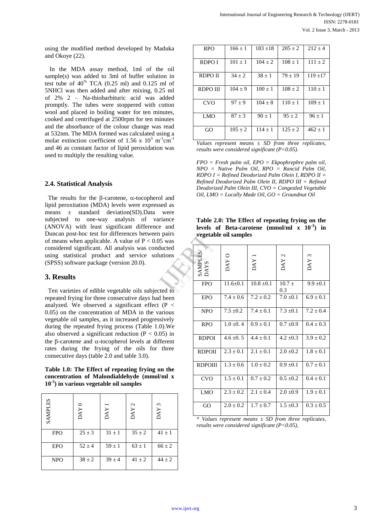using the modified method developed by Maduka and Okoye (22).

 In the MDA assay method, 1ml of the oil sample(s) was added to 3ml of buffer solution in test tube of  $40^{\%}$  TCA (0.25 ml) and 0.125 ml of 5NHCl was then added and after mixing, 0.25 ml of 2% 2 – Na-thiobarbituric acid was added promptly. The tubes were stoppered with cotton wool and placed in boiling water for ten minutes, cooked and centrifuged at 2500rpm for ten minutes and the absorbance of the colour change was read at 532nm. The MDA formed was calculated using a molar extinction coefficient of 1.56 x  $10^5$  m<sup>-1</sup>cm<sup>-1</sup> and 46 as constant factor of lipid peroxidation was used to multiply the resulting value.

#### **2.4. Statistical Analysis**

The results for the  $\beta$ -carotene,  $\alpha$ -tocopherol and lipid peroxitation (MDA) levels were expressed as means ± standard deviation(SD).Data were subjected to one-way analysis of variance (ANOVA) with least significant difference and Duncan post-hoc test for differences between pairs of means when applicable. A value of  $P < 0.05$  was considered significant. All analysis was conducted using statistical product and service solutions (SPSS) software package (version 20.0).

## **3. Results**

 Ten varieties of edible vegetable oils subjected to repeated frying for three consecutive days had been analyzed. We observed a significant effect ( $P \leq$ 0.05) on the concentration of MDA in the various vegetable oil samples, as it increased progressively during the repeated frying process (Table 1.0).We also observed a significant reduction ( $P < 0.05$ ) in the  $\beta$ -carotene and  $\alpha$ -tocopherol levels at different rates during the frying of the oils for three consecutive days (table 2.0 and table 3.0).

**Table 1.0: The Effect of repeating frying on the concentration of Malondialdehyde (mmol/ml x 10-3 ) in various vegetable oil samples**

| <b>SAMPLES</b> | DAY <sub>0</sub> | <b>DAY</b> | $\mathbf 2$<br><b>DAY</b> | $\epsilon$<br>DAY |
|----------------|------------------|------------|---------------------------|-------------------|
| <b>FPO</b>     | $25 \pm 3$       | $31 \pm 1$ | $35 \pm 2$                | $41 \pm 1$        |
| <b>EPO</b>     | $52 \pm 4$       | $59 \pm 1$ | $63 \pm 1$                | $66 \pm 2$        |
| <b>NPO</b>     | $38 \pm 2$       | $39 \pm 4$ | $41 \pm 2$                | $44 \pm 2$        |

| <b>RPO</b>  | $166 \pm 1$ | $183 + 18$    | $205 + 2$    | $212 + 4$  |
|-------------|-------------|---------------|--------------|------------|
| RDPO I      | $101 \pm 1$ | $104 \pm 2$   | $108 \pm 1$  | $111 + 2$  |
| RDPO II     | $34 \pm 2$  | $38 \pm 1$    | $79 \pm 19$  | $119 + 17$ |
| RDPO III    | $104 + 9$   | $100 + 1$     | $108 \pm 2$  | $110 + 1$  |
| <b>CVO</b>  | $97 + 9$    | $104 \pm 8$   | $110 + 1$    | $109 + 1$  |
| LMO         | $87 + 3$    | $90 + 1$      | $95 \pm 2$   | $96 \pm 1$ |
| GO          | $105 \pm 2$ | $114 + 1$     | $125 + 2$    | $462 + 1$  |
| <b>** *</b> |             | $\sim$ $\sim$ | $\mathbf{r}$ | $\ldots$   |

*Values represent means ± SD from three replicates, results were considered significant (P<0.05).*

*FPO = Fresh palm oil, EPO = Ekpophrephre palm oil, NPO = Native Palm Oil, RPO = Rancid Palm Oil, RDPO I = Refined Deodorized Palm Olein I, RDPO II = Refined Deodorized Palm Olein II, RDPO III = Refined Deodorized Palm Olein III, CVO = Congealed Vegetable Oil, LMO = Locally Made Oil, GO = Groundnut Oil*

|  | Table 2.0: The Effect of repeating frying on the           |  |  |
|--|------------------------------------------------------------|--|--|
|  | levels of Beta-carotene (mmol/ml $x$ 10 <sup>-3</sup> ) in |  |  |
|  | <i>vegetable oil samples</i>                               |  |  |

|                |  | regetable on samples |                |                |                   |                  |
|----------------|--|----------------------|----------------|----------------|-------------------|------------------|
| was            |  |                      |                |                |                   |                  |
| cted<br>ions   |  | SAMPLES/<br>DAYS     | DAY O          | DAY            | DAY 2             | DAY <sub>3</sub> |
| d to           |  | <b>FPO</b>           | $11.6 \pm 0.1$ | $10.8 \pm 0.1$ | $10.7 \pm$<br>0.3 | $9.9 \pm 0.1$    |
| been<br>P <    |  | <b>EPO</b>           | $7.4 \pm 0.6$  | $7.2 \pm 0.2$  | $7.0 \pm 0.1$     | $6.9 \pm 0.1$    |
| ious<br>vely   |  | <b>NPO</b>           | $7.5 \pm 0.2$  | $7.4 \pm 0.1$  | $7.3 \pm 0.1$     | $7.2 \pm 0.4$    |
| .We<br>$5)$ in |  | <b>RPO</b>           | $1.0 \pm 0.4$  | $0.9 \pm 0.1$  | $0.7 \pm 0.9$     | $0.4 \pm 0.3$    |
| rent           |  | <b>RDPOI</b>         | $4.6 \pm 0.5$  | $4.4 \pm 0.1$  | $4.2 \pm 0.3$     | $3.9 \pm 0.2$    |
| hree           |  | <b>RDPOII</b>        | $2.3 \pm 0.1$  | $2.1 \pm 0.1$  | $2.0 \pm 0.2$     | $1.8 \pm 0.1$    |
| the            |  | <b>RDPOIII</b>       | $1.3 \pm 0.6$  | $1.0 \pm 0.2$  | $0.9 \pm 0.1$     | $0.7 \pm 0.1$    |
| nl x           |  | <b>CVO</b>           | $1.5 \pm 0.1$  | $0.7 \pm 0.2$  | $0.5 \pm 0.2$     | $0.4 \pm 0.1$    |
|                |  | <b>LMO</b>           | $2.3 \pm 0.2$  | $2.1 \pm 0.4$  | $2.0 \pm 0.9$     | $1.9 \pm 0.1$    |
|                |  | GO                   | $2.0 \pm 0.2$  | $1.7 \pm 0.7$  | $1.5 \pm 0.3$     | $0.3 \pm 0.5$    |
|                |  |                      |                |                |                   |                  |

*<sup>\*</sup> Values represent means ± SD from three replicates, results were considered significant (P<0.05),*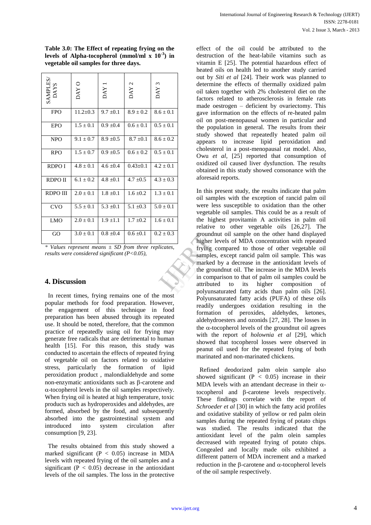| $\begin{array}{c}\text{SAMPLES/}\\\text{DAYS}\end{array}$ | DAY O          | <b>DAY</b>    | DAY <sub>2</sub> | DAY <sub>3</sub> |
|-----------------------------------------------------------|----------------|---------------|------------------|------------------|
| <b>FPO</b>                                                | $11.2 \pm 0.3$ | $9.7 \pm 0.1$ | $8.9 \pm 0.2$    | $8.6 \pm 0.1$    |
| <b>EPO</b>                                                | $1.5 \pm 0.1$  | $0.9 \pm 0.4$ | $0.6 \pm 0.1$    | $0.5 \pm 0.1$    |
| <b>NPO</b>                                                | $9.1 \pm 0.7$  | $8.9 \pm 0.5$ | $8.7 \pm 0.1$    | $8.6 \pm 0.2$    |
| <b>RPO</b>                                                | $1.5 \pm 0.7$  | $0.9 \pm 0.5$ | $0.6 \pm 0.2$    | $0.5 \pm 0.1$    |
| <b>RDPOI</b>                                              | $4.8 \pm 0.1$  | $4.6 \pm 0.4$ | $0.43 \pm 0.1$   | $4.2 \pm 0.1$    |
| <b>RDPOII</b>                                             | $6.1 \pm 0.2$  | $4.8 \pm 0.1$ | $4.7 \pm 0.5$    | $4.3 \pm 0.3$    |
| RDPO III                                                  | $2.0 \pm 0.1$  | $1.8 \pm 0.1$ | $1.6 \pm 0.2$    | $1.3 \pm 0.1$    |
| <b>CVO</b>                                                | $5.5 \pm 0.1$  | $5.3 \pm 0.1$ | $5.1 \pm 0.3$    | $5.0 \pm 0.1$    |
| <b>LMO</b>                                                | $2.0 \pm 0.1$  | $1.9 \pm 1.1$ | $1.7 \pm 0.2$    | $1.6 \pm 0.1$    |
| GO                                                        | $3.0 \pm 0.1$  | $0.8 \pm 0.4$ | $0.6 \pm 0.1$    | $0.2 \pm 0.3$    |

**Table 3.0: The Effect of repeating frying on the levels of Alpha-tocopherol (mmol/ml x 10-3 ) in vegetable oil samples for three days.**

*\* Values represent means ± SD from three replicates, results were considered significant (P<0.05),*

## **4. Discussion**

 In recent times, frying remains one of the most popular methods for food preparation. However, the engagement of this technique in food preparation has been abused through its repeated use. It should be noted, therefore, that the common practice of repeatedly using oil for frying may generate free radicals that are detrimental to human health [15]. For this reason, this study was conducted to ascertain the effects of repeated frying of vegetable oil on factors related to oxidative stress, particularly the formation of lipid peroxidation product , malondialdehyde and some non-enzymatic antioxidants such as  $\beta$ -carotene and  $\alpha$ -tocopherol levels in the oil samples respectively. When frying oil is heated at high temperature, toxic products such as hydroperoxides and aldehydes, are formed, absorbed by the food, and subsequently absorbed into the gastrointestinal system and introduced into system circulation after consumption [9, 23].

 The results obtained from this study showed a marked significant ( $P < 0.05$ ) increase in MDA levels with repeated frying of the oil samples and a significant ( $P < 0.05$ ) decrease in the antioxidant levels of the oil samples. The loss in the protective

effect of the oil could be attributed to the destruction of the heat-labile vitamins such as vitamin E [25]. The potential hazardous effect of heated oils on health led to another study carried out by *Siti et al* [24]. Their work was planned to determine the effects of thermally oxidized palm oil taken together with 2% cholesterol diet on the factors related to atherosclerosis in female rats made oestrogen – deficient by ovariectomy. This gave information on the effects of re-heated palm oil on post-menopausal women in particular and the population in general. The results from their study showed that repeatedly heated palm oil appears to increase lipid peroxidation and cholesterol in a post-menopausal rat model. Also, Owu *et al*, [25] reported that consumption of oxidized oil caused liver dysfunction. The results obtained in this study showed consonance with the aforesaid reports.

In this present study, the results indicate that palm oil samples with the exception of rancid palm oil were less susceptible to oxidation than the other vegetable oil samples. This could be as a result of the highest provitamin A activities in palm oil relative to other vegetable oils [26,27]. The groundnut oil sample on the other hand displayed higher levels of MDA concentration with repeated frying compared to those of other vegetable oil samples, except rancid palm oil sample. This was marked by a decrease in the antioxidant levels of the groundnut oil. The increase in the MDA levels in comparison to that of palm oil samples could be attributed to its higher composition of polyunsaturated fatty acids than palm oils [26]. Polyunsaturated fatty acids (PUFA) of these oils readily undergoes oxidation resulting in the formation of peroxides, aldehydes, ketones, aldehydroesters and ozonids [27, 28]. The losses in the  $\alpha$ -tocopherol levels of the groundnut oil agrees with the report of *holownia et al* [29], which showed that tocopherol losses were observed in peanut oil used for the repeated frying of both marinated and non-marinated chickens. ates,<br>
higher les<br>
frying c<br>
samples,<br>
marked<br>
the grou<br>
in compatitibute<br>
polyunsa

> Refined deodorized palm olein sample also showed significant  $(P < 0.05)$  increase in their MDA levels with an attendant decrease in their  $\alpha$ tocopherol and  $\beta$ -carotene levels respectively. These findings correlate with the report of *Schroeder et al* [30] in which the fatty acid profiles and oxidative stability of yellow or red palm olein samples during the repeated frying of potato chips was studied. The results indicated that the antioxidant level of the palm olein samples decreased with repeated frying of potato chips. Congealed and locally made oils exhibited a different pattern of MDA increment and a marked reduction in the  $\beta$ -carotene and  $\alpha$ -tocopherol levels of the oil sample respectively.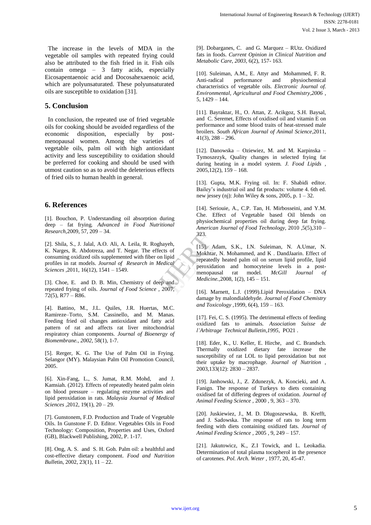The increase in the levels of MDA in the vegetable oil samples with repeated frying could also be attributed to the fish fried in it. Fish oils contain omega – 3 fatty acids, especially Eicosapentaenoic acid and Docosahexaenoic acid, which are polyunsaturated. These polyunsaturated oils are susceptible to oxidation [31].

# **5. Conclusion**

 In conclusion, the repeated use of fried vegetable oils for cooking should be avoided regardless of the economic disposition, especially by postmenopausal women. Among the varieties of vegetable oils, palm oil with high antioxidant activity and less susceptibility to oxidation should be preferred for cooking and should be used with utmost caution so as to avoid the deleterious effects of fried oils to human health in general.

# **6. References**

[1]. Bouchon, P. Understanding oil absorption during deep – fat frying*. Advanced in Food Nutritional Research,*2009*,* 57, 209 – 34.

[2]. Shila, S., J. Jalal, A.O. Ali, A. Leila, R. Roghayeh, K. Narges, R. Abdotreza, and T. Negar. The effects of consuming oxidized oils supplemented with fiber on lipid profiles in rat models. *Journal of Research in Medical Sciences ,*2011, 16(12), 1541 – 1549.

[3]. Choe, E. and D. B. Min, Chemistry of deep and repeated frying of oils. *Journal of Food Science ,* 2007,  $72(5)$ , R $77 - R86$ .

[4]. Battino, M., J.L. Quiles, J.R. Huertas, M.C. Ramireze–Torto, S.M. Cassinello, and M. Manas. Feeding fried oil changes antioxidant and fatty acid pattern of rat and affects rat liver mitochondrial respiratory chian components. *Journal of Bioenergy of Biomembrane., 2002,* 58(1), 1-7.

[5]. Rerger, K. G. The Use of Palm Oil in Frying. Selangor (MY). Malaysian Palm Oil Promotion Council, 2005.

[6]. Xin-Fang, L., S. Jumat, R.M. Mohd, and J. Kamsiah. (2012). Effects of repeatedly heated palm olein on blood pressure – regulating enzyme activities and lipid peroxidation in rats. *Malaysia Journal of Medical Sciences ,*2012, 19(1), 20 – 29.

[7]. Gunstonem, F.D. Production and Trade of Vegetable Oils. In Gunstone F. D. Editor. Vegetables Oils in Food Technology: Composition, Properties and Uses, Oxford (GB), Blackwell Publishing, 2002, P. 1-17.

[8]. Ong, A. S. and S. H. Goh. Palm oil: a healthful and cost-effective dietary component. *Food and Nutrition Bull*etin, 2002, 23(1), 11 – 22.

[9]. Dobarganes, C. and G. Marquez – RUtz. Oxidized fats in foods. *Current Opinion in Clinical Nutrition and Metabolic Care, 2003,* 6(2), 157- 163.

[10]. Suleiman, A.M., E. Attyr and Mohammed, F. R. Anti-radical performance and physiochemical characteristics of vegetable oils. *Electronic Journal of. Environmental, Agricultural and Food Chemistry,2006 ,* 5, 1429 – 144.

[11]. Bayraktar, H., O. Attan, Z. Acikgoz, S.H. Baysal, and C. Seremet, Effects of oxidised oil and vitamin E on performance and some blood traits of heat-stressed male broilers. *South African Journal of Animal Science*,2011,  $41(3)$ ,  $288 - 296$ .

[12]. Danowska – Oziewiez, M. and M. Karpinska – Tymoszezyk, Quality changes in selected frying fat during heating in a model system. *J. Food Lipids ,*  $2005, 12(2), 159 - 168.$ 

[13]. Gupta, M.K. Frying oil. In: F. Shabidi editor. Bailey's industrial oil and fat products: volume 4. 6th ed. new jessey (nj): John Wiley & sons, 2005, p.  $1 - 32$ .

[14]. Seriouie, A., C.P. Tan, H. Mirbosseini, and Y.M. Che. Effect of Vegetable based Oil blends on physiochemical properties oil during deep fat frying. *American Journal of Food Technology*, 2010 ,5(5),310 – 323.

[15]. Adam, S.K., I.N. Suleiman, N. A.Umar, N. Mokhtar, N. Mohammed, and K . DandJaarin. Effect of repeatedly heated palm oil on serum lipid profile, lipid peroxidation and homocyteine levels in a postmenopausal rat model. *McGill Journal Medicine.,*2008, 1(2), 145 – 151. Exercise<br>
Input is of<br>
Input is of<br>
Input is the Mokhtar,<br>
International peroxidat<br>
International Medicine<br>
Medicine<br>
II6]. Ma

[16]. Marnett, L.J. (1999).Lipid Peroxidation – DNA damage by malondialdehyde*. Journal of Food Chemistry and Toxicology ,*1999, 6(4), 159 – 163.

[17]. Fei, C. S. (1995). The detrimental effects of feeding oxidized fats to animals. *Association Suisse de l'Arbitrage Technical Bulletin,1995,* PO21 .

[18]. Eder, K., U. Keller, E. Hirche, and C. Brandsch. Thermally oxidized dietary fate increase the susceptibility of rat LOL to lipid peroxidation but not their uptake by macrophage. *Journal of Nutrition* , 2003,133(12): 2830 – 2837.

[19]. Janhowski, J., Z. Zdunezyk, A. Koncieki, and A. Fanign. The response of Turkeys to diets containing oxidised fat of differing degrees of oxidation*. Journal of Animal Feeding Science ,* 2000 , 9, 363 – 370.

[20]. Juskiewiez, J., M. D. Dlugoszewska, B. Krefft, and J. Sadowska. The response of rats to long term feeding with diets containing oxidized fats*. Journal of Animal Feeding Science ,* 2005 , 9, 249 – 157.

[21]. Jakutowicz, K., Z.I Towick, and L. Leokadia. Determination of total plasma tocopherol in the presence of carotenes*. Pol. Arch. Weter* , 1977, 20, 45-47.